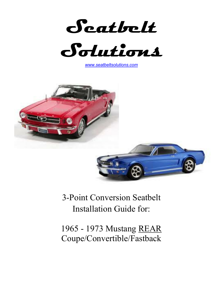



*www.seatbeltsolutions.com*





3-Point Conversion Seatbelt Installation Guide for:

1965 - 1973 Mustang REAR Coupe/Convertible/Fastback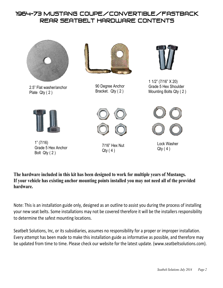## 1964-73 Mustang Coupe/Convertible/Fastback rear seaTBELT HARDWARE CONTENTS



1" (7/16) Grade 5 Hex Anchor Bolt Qty ( 2 )

7/16" Hex Nut  $Qtv(4)$ 

Lock Washer Qty ( 4 )

**The hardware included in this kit has been designed to work for multiple years of Mustangs. If your vehicle has existing anchor mounting points installed you may not need all of the provided hardware.**

Note: This is an installation guide only, designed as an outline to assist you during the process of installing your new seat belts. Some installations may not be covered therefore it will be the installers responsibility to determine the safest mounting locations.

Seatbelt Solutions, Inc, or its subsidiaries, assumes no responsibility for a proper or improper installation. Every attempt has been made to make this installation guide as informative as possible, and therefore may be updated from time to time. Please check our website for the latest update. (www.seatbeltsolutions.com).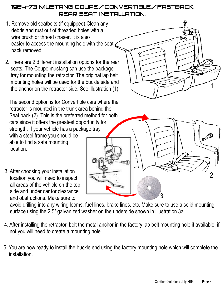## 1964-73 Mustang Coupe/Convertible/Fastback rear seat Installation.

- 1. Remove old seatbelts (if equipped).Clean any debris and rust out of threaded holes with a wire brush or thread chaser. It is also easier to access the mounting hole with the seat back removed.
- 2. There are 2 different installation options for the rear seats. The Coupe mustang can use the package tray for mounting the retractor. The original lap belt mounting holes will be used for the buckle side and the anchor on the retractor side. See illustration (1).

 The second option is for Convertible cars where the retractor is mounted in the trunk area behind the Seat back (2). This is the preferred method for both cars since it offers the greatest opportunity for strength. If your vehicle has a package tray with a steel frame you should be able to find a safe mounting location.

3. After choosing your installation location you will need to inspect all areas of the vehicle on the top side and under car for clearance and obstructions. Make sure to

 avoid drilling into any wiring looms, fuel lines, brake lines, etc. Make sure to use a solid mounting surface using the 2.5" galvanized washer on the underside shown in illustration 3a.

- 4. After installing the retractor, bolt the metal anchor in the factory lap belt mounting hole if available, if not you will need to create a mounting hole.
- 5. You are now ready to install the buckle end using the factory mounting hole which will complete the installation.

3

1

2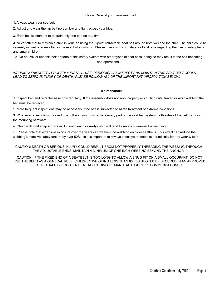1. Always wear your seatbelt.

2. Adjust and wear the lap belt portion low and tight across your hips.

3. Each belt is intended to restrain only one person at a time.

4. Never attempt to restrain a child in your lap using the 3-point retractable seat belt around both you and the child. The child could be severely injured or even killed in the event of a collision. Please check with your state for local laws regarding the use of safety belts and small children.

5. Do not mix or use this belt or parts of this safety system with other types of seat belts, doing so may result in the belt becoming non operational.

*WARNING: FAILURE TO PROPERLY INSTALL, USE, PERIODICALLY INSPECT AND MAINTAIN THIS SEAT BELT COULD LEAD TO SERIOUS INJURY OR DEATH! PLEASE FOLLOW ALL OF THE IMPORTANT INFORMATION BELOW:*

## **Maintenance:**

1. Inspect belt and retractor assembly regularly. If the assembly does not work properly or you find cuts, frayed or worn webbing the belt must be replaced.

2. More frequent inspections may be necessary if the belt is subjected to harsh treatment or extreme conditions.

3. Whenever a vehicle is involved in a collision you must replace every part of the seat belt system; both sides of the belt including the mounting hardware!

4. Clean with mild soap and water. Do not bleach or re-dye as it will tend to severely weaken the webbing.

5. Please note that extensive exposure over the years can weaken the webbing on older seatbelts. This effect can reduce the webbing's effective safety feature by over 50%, so it is important to always check your seatbelts periodically for any wear & tear.

CAUTION: DEATH OR SERIOUS INJURY COULD RESULT FROM NOT PROPERLY THREADING THE WEBBING THROUGH THE ADJUSTABLE ENDS. MAINTAIN A MINIMUM OF ONE INCH WEBBING BEYOND THE ANCHOR.

CAUTION: IF THE FIXED END OF A SEATBELT IS TOO LONG TO ALLOW A SNUG FIT ON A SMALL OCCUPANT, DO NOT USE THE BELT! AS A GENERAL RULE, CHILDREN WEIGHING LESS THAN 80 LBS SHOULD BE SECURED IN AN APPROVED CHILD SAFETY/BOOSTER SEAT ACCORDING TO MANUFACTURER'S RECOMMENDATIONS!!!